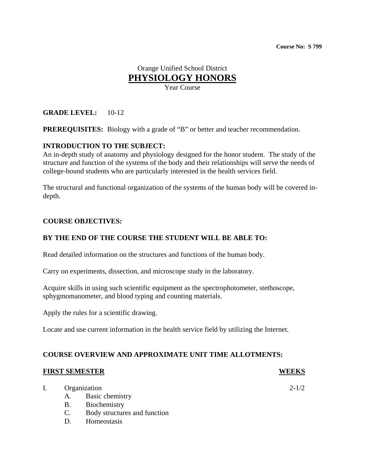# Orange Unified School District **PHYSIOLOGY HONORS**

Year Course

# **GRADE LEVEL:** 10-12

**PREREQUISITES:** Biology with a grade of "B" or better and teacher recommendation.

### **INTRODUCTION TO THE SUBJECT:**

An in-depth study of anatomy and physiology designed for the honor student. The study of the structure and function of the systems of the body and their relationships will serve the needs of college-bound students who are particularly interested in the health services field.

The structural and functional organization of the systems of the human body will be covered indepth.

#### **COURSE OBJECTIVES:**

#### **BY THE END OF THE COURSE THE STUDENT WILL BE ABLE TO:**

Read detailed information on the structures and functions of the human body.

Carry on experiments, dissection, and microscope study in the laboratory.

Acquire skills in using such scientific equipment as the spectrophotometer, stethoscope, sphygmomanometer, and blood typing and counting materials.

Apply the rules for a scientific drawing.

Locate and use current information in the health service field by utilizing the Internet.

# **COURSE OVERVIEW AND APPROXIMATE UNIT TIME ALLOTMENTS:**

#### **FIRST SEMESTER WEEKS**

| I. | Organization |                              | $2 - 1/2$ |
|----|--------------|------------------------------|-----------|
|    |              | A. Basic chemistry           |           |
|    | <b>B.</b>    | Biochemistry                 |           |
|    |              | Body structures and function |           |

D. Homeostasis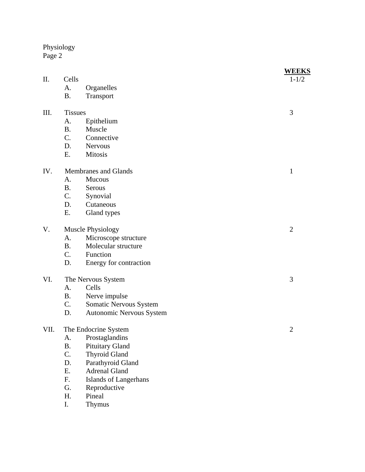Physiology Page 2

|      |                      |                          | <b>WEEKS</b>   |
|------|----------------------|--------------------------|----------------|
| II.  | Cells                |                          | $1 - 1/2$      |
|      | A.                   | Organelles               |                |
|      | <b>B.</b>            | Transport                |                |
| III. | <b>Tissues</b>       |                          | 3              |
|      | A.                   | Epithelium               |                |
|      | <b>B.</b>            | Muscle                   |                |
|      | C.                   | Connective               |                |
|      | D.                   | <b>Nervous</b>           |                |
|      | Ε.                   | <b>Mitosis</b>           |                |
| IV.  | Membranes and Glands |                          | $\mathbf{1}$   |
|      | A.                   | Mucous                   |                |
|      | <b>B.</b>            | Serous                   |                |
|      | C.                   | Synovial                 |                |
|      | D.                   | Cutaneous                |                |
|      | Ε.                   | Gland types              |                |
| V.   | Muscle Physiology    |                          | $\overline{2}$ |
|      | A.                   | Microscope structure     |                |
|      | <b>B.</b>            | Molecular structure      |                |
|      | C.                   | Function                 |                |
|      | D.                   | Energy for contraction   |                |
| VI.  | The Nervous System   |                          | 3              |
|      | A.                   | Cells                    |                |
|      | <b>B.</b>            | Nerve impulse            |                |
|      | C.                   | Somatic Nervous System   |                |
|      | D.                   | Autonomic Nervous System |                |
| VII. | The Endocrine System |                          | $\overline{2}$ |
|      | A.                   | Prostaglandins           |                |
|      | <b>B.</b>            | Pituitary Gland          |                |
|      | C.                   | <b>Thyroid Gland</b>     |                |
|      | D.                   | Parathyroid Gland        |                |
|      | E.                   | <b>Adrenal Gland</b>     |                |
|      | F.                   | Islands of Langerhans    |                |
|      | G.                   | Reproductive             |                |
|      | H.                   | Pineal                   |                |
|      | I.                   | Thymus                   |                |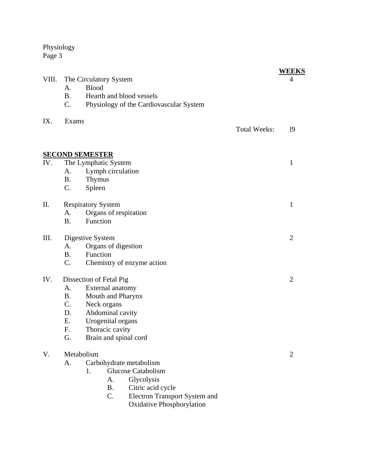Physiology Page 3

|       |                                               |                     | <b>WEEKS</b>   |
|-------|-----------------------------------------------|---------------------|----------------|
| VIII. | The Circulatory System                        |                     | $\overline{4}$ |
|       | <b>Blood</b><br>A.                            |                     |                |
|       | Hearth and blood vessels<br><b>B.</b>         |                     |                |
|       | C.<br>Physiology of the Cardiovascular System |                     |                |
| IX.   | Exams                                         |                     |                |
|       |                                               | <b>Total Weeks:</b> | 19             |
|       |                                               |                     |                |
|       | <b>SECOND SEMESTER</b>                        |                     |                |
| IV.   | The Lymphatic System                          |                     | 1              |
|       | Lymph circulation<br>А.                       |                     |                |
|       | Thymus<br><b>B.</b>                           |                     |                |
|       | C.<br>Spleen                                  |                     |                |
| II.   | <b>Respiratory System</b>                     |                     | 1              |
|       | Organs of respiration<br>A.                   |                     |                |
|       | Function<br><b>B.</b>                         |                     |                |
| III.  | Digestive System                              |                     | $\overline{2}$ |
|       | Organs of digestion<br>А.                     |                     |                |
|       | Function<br><b>B.</b>                         |                     |                |
|       | C.<br>Chemistry of enzyme action              |                     |                |
| IV.   | Dissection of Fetal Pig                       |                     | $\overline{2}$ |
|       | External anatomy<br>A.                        |                     |                |
|       | Mouth and Pharynx<br><b>B.</b>                |                     |                |
|       | C.<br>Neck organs                             |                     |                |
|       | Abdominal cavity<br>D.                        |                     |                |
|       | Urogenital organs<br>Ε.                       |                     |                |
|       | Thoracic cavity<br>F.                         |                     |                |
|       | Brain and spinal cord<br>G.                   |                     |                |
| V.    | Metabolism                                    |                     | $\overline{2}$ |
|       | Carbohydrate metabolism<br>A.                 |                     |                |
|       | <b>Glucose Catabolism</b><br>1.               |                     |                |
|       | Glycolysis<br>А.                              |                     |                |
|       | Citric acid cycle<br><b>B.</b>                |                     |                |
|       | C.<br><b>Electron Transport System and</b>    |                     |                |
|       | <b>Oxidative Phosphorylation</b>              |                     |                |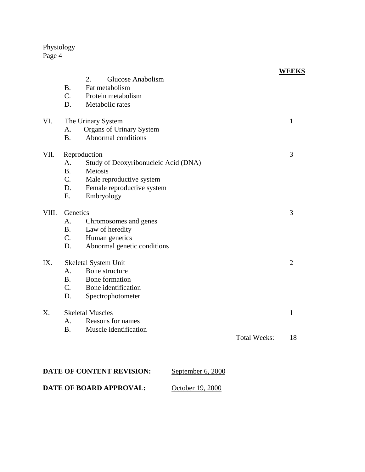# Physiology Page 4

|       |                         | Glucose Anabolism<br>2.              |                     | <b>WEEKS</b>   |
|-------|-------------------------|--------------------------------------|---------------------|----------------|
|       | <b>B.</b>               | Fat metabolism                       |                     |                |
|       | $C_{\cdot}$             | Protein metabolism                   |                     |                |
|       | D.                      | Metabolic rates                      |                     |                |
| VI.   | The Urinary System      |                                      |                     | $\mathbf{1}$   |
|       | A.                      | Organs of Urinary System             |                     |                |
|       | <b>B.</b>               | Abnormal conditions                  |                     |                |
| VII.  | Reproduction            |                                      |                     | 3              |
|       | A.                      | Study of Deoxyribonucleic Acid (DNA) |                     |                |
|       | <b>B.</b>               | Meiosis                              |                     |                |
|       | $C_{\cdot}$             | Male reproductive system             |                     |                |
|       | D.                      | Female reproductive system           |                     |                |
|       | E.                      | Embryology                           |                     |                |
| VIII. | Genetics                |                                      |                     | 3              |
|       | A.                      | Chromosomes and genes                |                     |                |
|       | <b>B.</b>               | Law of heredity                      |                     |                |
|       | C.                      | Human genetics                       |                     |                |
|       | D.                      | Abnormal genetic conditions          |                     |                |
| IX.   |                         | Skeletal System Unit                 |                     | $\overline{2}$ |
|       | A.                      | Bone structure                       |                     |                |
|       | B <sub>1</sub>          | Bone formation                       |                     |                |
|       | $C_{\cdot}$             | Bone identification                  |                     |                |
|       | D.                      | Spectrophotometer                    |                     |                |
| Χ.    | <b>Skeletal Muscles</b> |                                      |                     | $\mathbf{1}$   |
|       | A.                      | Reasons for names                    |                     |                |
|       | B <sub>1</sub>          | Muscle identification                |                     |                |
|       |                         |                                      | <b>Total Weeks:</b> | 18             |
|       |                         |                                      |                     |                |
|       |                         |                                      |                     |                |

| <b>DATE OF CONTENT REVISION:</b> | September 6, 2000 |
|----------------------------------|-------------------|
| DATE OF BOARD APPROVAL:          | October 19, 2000  |